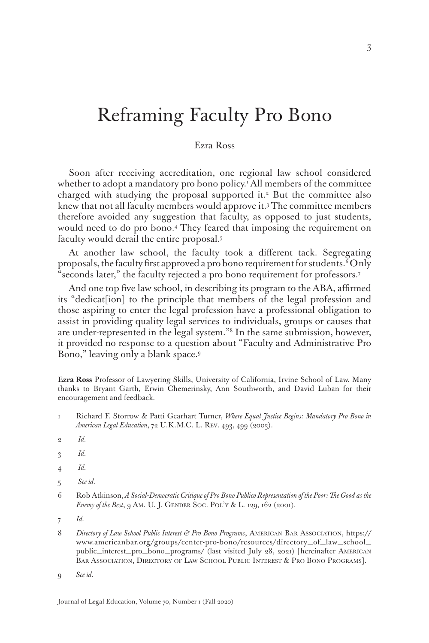# Reframing Faculty Pro Bono

## Ezra Ross

Soon after receiving accreditation, one regional law school considered whether to adopt a mandatory pro bono policy.1 All members of the committee charged with studying the proposal supported it.<sup>2</sup> But the committee also knew that not all faculty members would approve it.3 The committee members therefore avoided any suggestion that faculty, as opposed to just students, would need to do pro bono.4 They feared that imposing the requirement on faculty would derail the entire proposal.5

At another law school, the faculty took a different tack. Segregating proposals, the faculty first approved a pro bono requirement for students. $^6$ Only "seconds later," the faculty rejected a pro bono requirement for professors.7

And one top five law school, in describing its program to the ABA, affirmed its "dedicat[ion] to the principle that members of the legal profession and those aspiring to enter the legal profession have a professional obligation to assist in providing quality legal services to individuals, groups or causes that are under-represented in the legal system."8 In the same submission, however, it provided no response to a question about "Faculty and Administrative Pro Bono," leaving only a blank space.9

**Ezra Ross** Professor of Lawyering Skills, University of California, Irvine School of Law. Many thanks to Bryant Garth, Erwin Chemerinsky, Ann Southworth, and David Luban for their encouragement and feedback.

- 1 Richard F. Storrow & Patti Gearhart Turner, *Where Equal Justice Begins: Mandatory Pro Bono in American Legal Education*, 72 U.K.M.C. L. Rev. 493, 499 (2003).
- 2 *Id.*
- 3 *Id.*
- 4 *Id.*
- 5 *See id.*
- 6 Rob Atkinson, *A Social-Democratic Critique of Pro Bono Publico Representation of the Poor: The Good as the Enemy of the Best*, 9 Am. U. J. GENDER SOC. POL'Y & L. 129, 162 (2001).
- 7 *Id.*
- 8 *Directory of Law School Public Interest & Pro Bono Programs*, AMERICAN BAR ASSOCIATION, https:// www.americanbar.org/groups/center-pro-bono/resources/directory\_of\_law\_school\_ public\_interest\_pro\_bono\_programs/ (last visited July 28, 2021) [hereinafter American Bar Association, Directory of Law School Public Interest & Pro Bono Programs].
- 9 *See id.*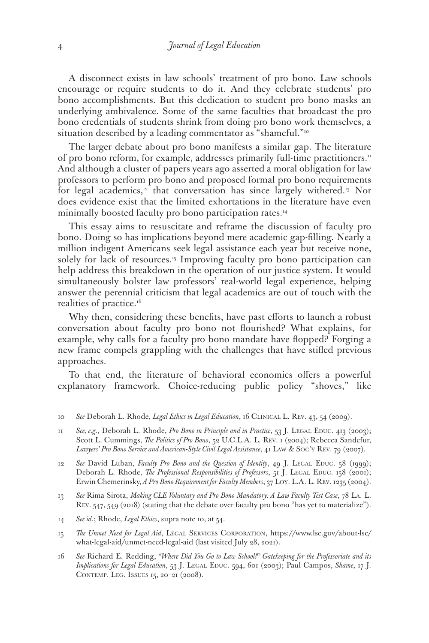A disconnect exists in law schools' treatment of pro bono. Law schools encourage or require students to do it. And they celebrate students' pro bono accomplishments. But this dedication to student pro bono masks an underlying ambivalence. Some of the same faculties that broadcast the pro bono credentials of students shrink from doing pro bono work themselves, a situation described by a leading commentator as "shameful."<sup>10</sup>

The larger debate about pro bono manifests a similar gap. The literature of pro bono reform, for example, addresses primarily full-time practitioners.<sup>11</sup> And although a cluster of papers years ago asserted a moral obligation for law professors to perform pro bono and proposed formal pro bono requirements for legal academics, $12$  that conversation has since largely withered.<sup>13</sup> Nor does evidence exist that the limited exhortations in the literature have even minimally boosted faculty pro bono participation rates.<sup>14</sup>

This essay aims to resuscitate and reframe the discussion of faculty pro bono. Doing so has implications beyond mere academic gap-filling. Nearly a million indigent Americans seek legal assistance each year but receive none, solely for lack of resources.<sup>15</sup> Improving faculty pro bono participation can help address this breakdown in the operation of our justice system. It would simultaneously bolster law professors' real-world legal experience, helping answer the perennial criticism that legal academics are out of touch with the realities of practice.<sup>16</sup>

Why then, considering these benefits, have past efforts to launch a robust conversation about faculty pro bono not flourished? What explains, for example, why calls for a faculty pro bono mandate have flopped? Forging a new frame compels grappling with the challenges that have stifled previous approaches.

To that end, the literature of behavioral economics offers a powerful explanatory framework. Choice-reducing public policy "shoves," like

- 12 See David Luban, *Faculty Pro Bono and the Question of Identity*, 49 J. LEGAL EDUC. 58 (1999); Deborah L. Rhode, *The Professional Responsibilities of Professors*, 51 J. LEGAL EDUC. 158 (2001); Erwin Chemerinsky, *A Pro Bono Requirement for Faculty Members*, 37 Loy. L.A. L. Rev. 1235 (2004).
- 13 *See* Rima Sirota, *Making CLE Voluntary and Pro Bono Mandatory: A Law Faculty Test Case*, 78 La. L. Rev. 547, 549 (2018) (stating that the debate over faculty pro bono "has yet to materialize").
- 14 *See id*.; Rhode, *Legal Ethics*, supra note 10, at 54.
- 15 *The Unmet Need for Legal Aid*, Legal Services Corporation, https://www.lsc.gov/about-lsc/ what-legal-aid/unmet-need-legal-aid (last visited July 28, 2021).
- 16 *See* Richard E. Redding, *"Where Did You Go to Law School?" Gatekeeping for the Professoriate and its Implications for Legal Education*, 53 J. Legal Educ. 594, 601 (2003); Paul Campos, *Shame*, 17 J. CONTEMP. LEG. ISSUES 15, 20-21 (2008).

<sup>10</sup> *See* Deborah L. Rhode, *Legal Ethics in Legal Education*, 16 Clinical L. Rev. 43, 54 (2009).

<sup>11</sup> See, e.g., Deborah L. Rhode, *Pro Bono in Principle and in Practice*, 53 J. LEGAL EDUC. 413 (2003); Scott L. Cummings, *The Politics of Pro Bono*, 52 U.C.L.A. L. Rev. 1 (2004); Rebecca Sandefur, *Lawyers' Pro Bono Service and American-Style Civil Legal Assistance*, 41 Law & Soc'y Rev. 79 (2007).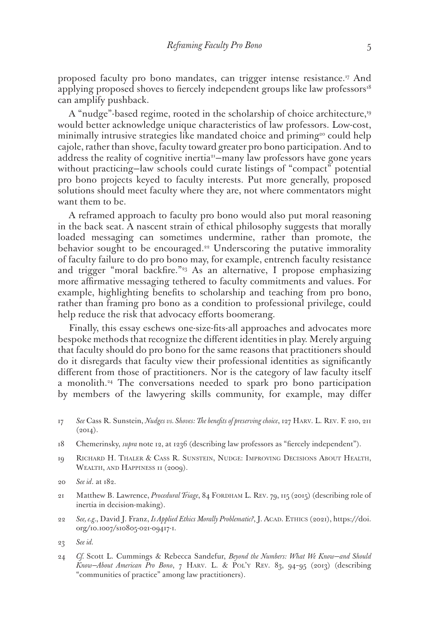proposed faculty pro bono mandates, can trigger intense resistance.<sup>17</sup> And applying proposed shoves to fiercely independent groups like law professors<sup>18</sup> can amplify pushback.

A "nudge"-based regime, rooted in the scholarship of choice architecture,<sup>19</sup> would better acknowledge unique characteristics of law professors. Low-cost, minimally intrusive strategies like mandated choice and priming<sup>20</sup> could help cajole, rather than shove, faculty toward greater pro bono participation. And to address the reality of cognitive inertia<sup>21</sup>-many law professors have gone years without practicing–law schools could curate listings of "compact" potential pro bono projects keyed to faculty interests. Put more generally, proposed solutions should meet faculty where they are, not where commentators might want them to be.

A reframed approach to faculty pro bono would also put moral reasoning in the back seat. A nascent strain of ethical philosophy suggests that morally loaded messaging can sometimes undermine, rather than promote, the behavior sought to be encouraged.<sup>22</sup> Underscoring the putative immorality of faculty failure to do pro bono may, for example, entrench faculty resistance and trigger "moral backfire."<sup>23</sup> As an alternative, I propose emphasizing more affirmative messaging tethered to faculty commitments and values. For example, highlighting benefits to scholarship and teaching from pro bono, rather than framing pro bono as a condition to professional privilege, could help reduce the risk that advocacy efforts boomerang.

Finally, this essay eschews one-size-fits-all approaches and advocates more bespoke methods that recognize the different identities in play. Merely arguing that faculty should do pro bono for the same reasons that practitioners should do it disregards that faculty view their professional identities as significantly different from those of practitioners. Nor is the category of law faculty itself a monolith.<sup>24</sup> The conversations needed to spark pro bono participation by members of the lawyering skills community, for example, may differ

- 17 *See* Cass R. Sunstein, *Nudges vs. Shoves: The benefits of preserving choice*, 127 Harv. L. Rev. F. 210, 211  $(2014).$
- 18 Chemerinsky, *supra* note 12, at 1236 (describing law professors as "fiercely independent").
- 19 Richard H. Thaler & Cass R. Sunstein, Nudge: Improving Decisions About Health, WEALTH, AND HAPPINESS II (2009).
- 20 *See id*. at 182.
- 21 Matthew B. Lawrence, *Procedural Triage*, 84 Fordham L. Rev. 79, 115 (2015) (describing role of inertia in decision-making).
- 22 See, e.g., David J. Franz, *Is Applied Ethics Morally Problematic?*, J. ACAD. ETHICS (2021), https://doi. org/10.1007/s10805-021-09417-1.
- 23 *See id.*
- 24 *Cf.* Scott L. Cummings & Rebecca Sandefur, *Beyond the Numbers: What We Know—and Should Know—About American Pro Bono*, 7 Harv. L. & Pol'y Rev. 83, 94–95 (2013) (describing "communities of practice" among law practitioners).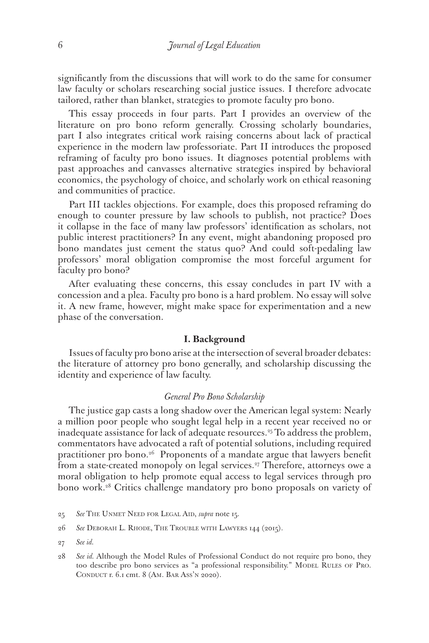significantly from the discussions that will work to do the same for consumer law faculty or scholars researching social justice issues. I therefore advocate tailored, rather than blanket, strategies to promote faculty pro bono.

This essay proceeds in four parts. Part I provides an overview of the literature on pro bono reform generally. Crossing scholarly boundaries, part I also integrates critical work raising concerns about lack of practical experience in the modern law professoriate. Part II introduces the proposed reframing of faculty pro bono issues. It diagnoses potential problems with past approaches and canvasses alternative strategies inspired by behavioral economics, the psychology of choice, and scholarly work on ethical reasoning and communities of practice.

Part III tackles objections. For example, does this proposed reframing do enough to counter pressure by law schools to publish, not practice? Does it collapse in the face of many law professors' identification as scholars, not public interest practitioners? In any event, might abandoning proposed pro bono mandates just cement the status quo? And could soft-pedaling law professors' moral obligation compromise the most forceful argument for faculty pro bono?

After evaluating these concerns, this essay concludes in part IV with a concession and a plea. Faculty pro bono is a hard problem. No essay will solve it. A new frame, however, might make space for experimentation and a new phase of the conversation.

### **I. Background**

Issues of faculty pro bono arise at the intersection of several broader debates: the literature of attorney pro bono generally, and scholarship discussing the identity and experience of law faculty.

## *General Pro Bono Scholarship*

The justice gap casts a long shadow over the American legal system: Nearly a million poor people who sought legal help in a recent year received no or inadequate assistance for lack of adequate resources.<sup>25</sup> To address the problem, commentators have advocated a raft of potential solutions, including required practitioner pro bono.<sup>26</sup> Proponents of a mandate argue that lawyers benefit from a state-created monopoly on legal services.<sup>27</sup> Therefore, attorneys owe a moral obligation to help promote equal access to legal services through pro bono work.28 Critics challenge mandatory pro bono proposals on variety of

- 25 *See* The Unmet Need for Legal Aid, *supra* note 15.
- 26 *See* Deborah L. Rhode, The Trouble with Lawyers 144 (2015).
- 27 *See id.*
- 28 *See id.* Although the Model Rules of Professional Conduct do not require pro bono, they too describe pro bono services as "a professional responsibility." Model Rules of Pro. Conduct r. 6.1 cmt. 8 (Am. Bar Ass'n 2020).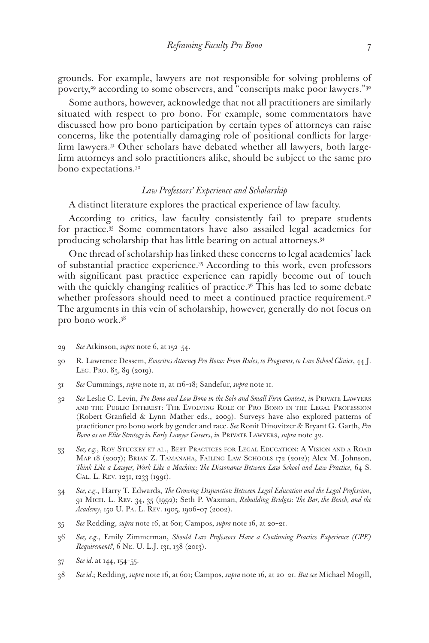grounds. For example, lawyers are not responsible for solving problems of poverty,<sup>29</sup> according to some observers, and "conscripts make poor lawyers."<sup>30</sup>

Some authors, however, acknowledge that not all practitioners are similarly situated with respect to pro bono. For example, some commentators have discussed how pro bono participation by certain types of attorneys can raise concerns, like the potentially damaging role of positional conflicts for largefirm lawyers.<sup>31</sup> Other scholars have debated whether all lawyers, both largefirm attorneys and solo practitioners alike, should be subject to the same pro bono expectations.32

#### *Law Professors' Experience and Scholarship*

A distinct literature explores the practical experience of law faculty.

According to critics, law faculty consistently fail to prepare students for practice.33 Some commentators have also assailed legal academics for producing scholarship that has little bearing on actual attorneys.34

One thread of scholarship has linked these concerns to legal academics' lack of substantial practice experience.35 According to this work, even professors with significant past practice experience can rapidly become out of touch with the quickly changing realities of practice.<sup>36</sup> This has led to some debate whether professors should need to meet a continued practice requirement.<sup>37</sup> The arguments in this vein of scholarship, however, generally do not focus on pro bono work.38

- 29 *See* Atkinson, *supra* note 6, at 152–54.
- 30 R. Lawrence Dessem, *Emeritus Attorney Pro Bono: From Rules, to Programs, to Law School Clinics*, 44 J. LEG. PRO. 83, 89 (2019).
- 31 *See* Cummings, *supra* note 11, at 116–18; Sandefur, *supra* note 11.
- 32 *See* Leslie C. Levin, *Pro Bono and Low Bono in the Solo and Small Firm Context*, *in* Private Lawyers and the Public Interest: The Evolving Role of Pro Bono in the Legal Profession (Robert Granfield & Lynn Mather eds., 2009). Surveys have also explored patterns of practitioner pro bono work by gender and race. *See* Ronit Dinovitzer & Bryant G. Garth, *Pro Bono as an Elite Strategy in Early Lawyer Careers*, *in* Private Lawyers, *supra* note 32.
- 33 *See, e.g.*, Roy Stuckey et al., Best Practices for Legal Education: A Vision and a Road Map 18 (2007); Brian Z. Tamanaha, Failing Law Schools 172 (2012); Alex M. Johnson, *Think Like a Lawyer, Work Like a Machine: The Dissonance Between Law School and Law Practice*, 64 S. Cal. L. Rev. 1231, 1233 (1991).
- 34 *See, e.g*., Harry T. Edwards, *The Growing Disjunction Between Legal Education and the Legal Profession*, 91 Mich. L. Rev. 34, 35 (1992); Seth P. Waxman, *Rebuilding Bridges: The Bar, the Bench, and the Academy*, 150 U. Pa. L. Rev. 1905, 1906–07 (2002).
- 35 *See* Redding, *supra* note 16, at 601; Campos, *supra* note 16, at 20–21.
- 36 *See, e.g*., Emily Zimmerman, *Should Law Professors Have a Continuing Practice Experience (CPE) Requirement?*, 6 NE. U. L.J. 131, 138 (2013).
- 37 *See id.* at 144, 154–55.
- 38 *See id.*; Redding, *supra* note 16, at 601; Campos, *supra* note 16, at 20–21. *But see* Michael Mogill,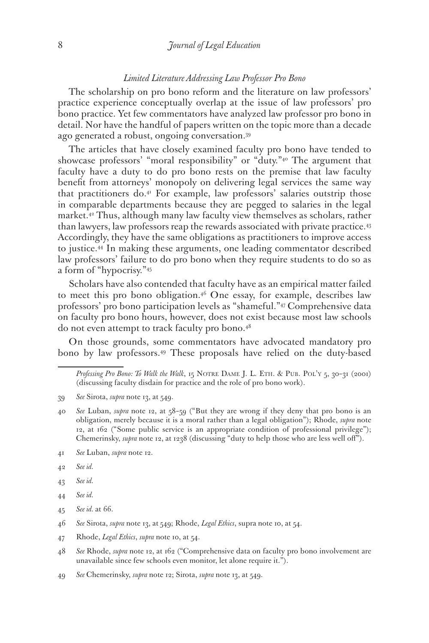### *Limited Literature Addressing Law Professor Pro Bono*

The scholarship on pro bono reform and the literature on law professors' practice experience conceptually overlap at the issue of law professors' pro bono practice. Yet few commentators have analyzed law professor pro bono in detail. Nor have the handful of papers written on the topic more than a decade ago generated a robust, ongoing conversation.39

The articles that have closely examined faculty pro bono have tended to showcase professors' "moral responsibility" or "duty."40 The argument that faculty have a duty to do pro bono rests on the premise that law faculty benefit from attorneys' monopoly on delivering legal services the same way that practitioners do.41 For example, law professors' salaries outstrip those in comparable departments because they are pegged to salaries in the legal market.42 Thus, although many law faculty view themselves as scholars, rather than lawyers, law professors reap the rewards associated with private practice.43 Accordingly, they have the same obligations as practitioners to improve access to justice.44 In making these arguments, one leading commentator described law professors' failure to do pro bono when they require students to do so as a form of "hypocrisy."45

Scholars have also contended that faculty have as an empirical matter failed to meet this pro bono obligation.<sup>46</sup> One essay, for example, describes law professors' pro bono participation levels as "shameful."47 Comprehensive data on faculty pro bono hours, however, does not exist because most law schools do not even attempt to track faculty pro bono.48

On those grounds, some commentators have advocated mandatory pro bono by law professors.49 These proposals have relied on the duty-based

- 39 *See* Sirota, *supra* note 13, at 549.
- 40 *See* Luban, *supra* note 12, at 58–59 ("But they are wrong if they deny that pro bono is an obligation, merely because it is a moral rather than a legal obligation"); Rhode, *supra* note 12, at 162 ("Some public service is an appropriate condition of professional privilege"); Chemerinsky, *supra* note 12, at 1238 (discussing "duty to help those who are less well off").
- 41 *See* Luban, *supra* note 12.
- 42 *See id.*
- 43 *See id.*
- 44 *See id.*
- 45 *See id.* at 66.

- 47 Rhode, *Legal Ethics*, *supra* note 10, at 54.
- 48 *See* Rhode, *supra* note 12, at 162 ("Comprehensive data on faculty pro bono involvement are unavailable since few schools even monitor, let alone require it.").

49 *See* Chemerinsky, *supra* note 12; Sirota, *supra* note 13, at 549.

*Professing Pro Bono: To Walk the Walk*, 15 Notre Dame J. L. Eth. & Pub. Pol'y 5, 30–31 (2001) (discussing faculty disdain for practice and the role of pro bono work).

<sup>46</sup> *See* Sirota, *supra* note 13, at 549; Rhode, *Legal Ethics*, supra note 10, at 54.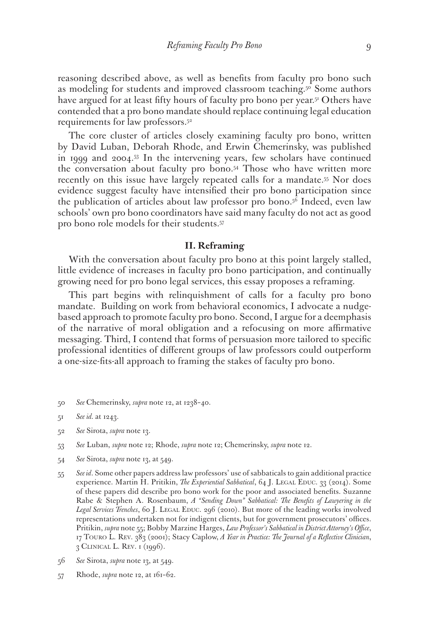reasoning described above, as well as benefits from faculty pro bono such as modeling for students and improved classroom teaching.<sup>50</sup> Some authors have argued for at least fifty hours of faculty pro bono per year.<sup>51</sup> Others have contended that a pro bono mandate should replace continuing legal education requirements for law professors.52

The core cluster of articles closely examining faculty pro bono, written by David Luban, Deborah Rhode, and Erwin Chemerinsky, was published in 1999 and 2004.53 In the intervening years, few scholars have continued the conversation about faculty pro bono.54 Those who have written more recently on this issue have largely repeated calls for a mandate.<sup>55</sup> Nor does evidence suggest faculty have intensified their pro bono participation since the publication of articles about law professor pro bono.56 Indeed, even law schools' own pro bono coordinators have said many faculty do not act as good pro bono role models for their students.57

#### **II. Reframing**

With the conversation about faculty pro bono at this point largely stalled, little evidence of increases in faculty pro bono participation, and continually growing need for pro bono legal services, this essay proposes a reframing.

This part begins with relinquishment of calls for a faculty pro bono mandate. Building on work from behavioral economics, I advocate a nudgebased approach to promote faculty pro bono. Second, I argue for a deemphasis of the narrative of moral obligation and a refocusing on more affirmative messaging. Third, I contend that forms of persuasion more tailored to specific professional identities of different groups of law professors could outperform a one-size-fits-all approach to framing the stakes of faculty pro bono.

50 *See* Chemerinsky, *supra* note 12, at 1238–40.

- 52 *See* Sirota, *supra* note 13.
- 53 *See* Luban, *supra* note 12; Rhode, *supra* note 12; Chemerinsky, *supra* note 12.
- 54 *See* Sirota, *supra* note 13, at 549.
- 55 *See id*. Some other papers address law professors' use of sabbaticals to gain additional practice experience. Martin H. Pritikin, *The Experiential Sabbatical*, 64 J. LEGAL EDUC. 33 (2014). Some of these papers did describe pro bono work for the poor and associated benefits. Suzanne Rabe & Stephen A. Rosenbaum, *A "Sending Down" Sabbatical: The Benefits of Lawyering in the*  Legal Services Trenches, 60 J. LEGAL EDUC. 296 (2010). But more of the leading works involved representations undertaken not for indigent clients, but for government prosecutors' offices. Pritikin, *supra* note 55; Bobby Marzine Harges, *Law Professor's Sabbatical in District Attorney's Office*, 17 Touro L. Rev. 383 (2001); Stacy Caplow, *A Year in Practice: The Journal of a Reflective Clinician*, 3 Clinical L. Rev. 1 (1996).
- 56 *See* Sirota, *supra* note 13, at 549.
- 57 Rhode, *supra* note 12, at 161–62.

<sup>51</sup> *See id.* at 1243.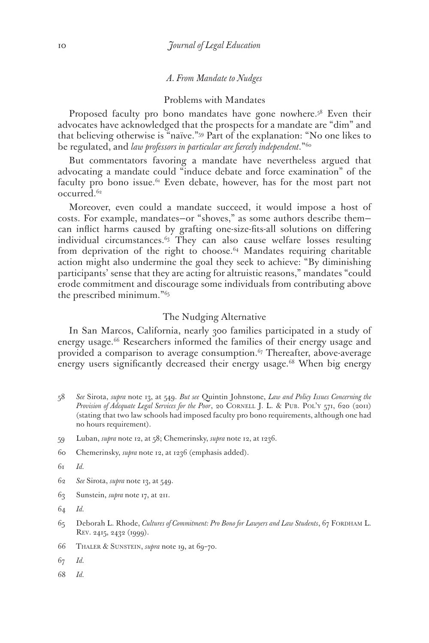#### *A. From Mandate to Nudges*

#### Problems with Mandates

Proposed faculty pro bono mandates have gone nowhere.<sup>58</sup> Even their advocates have acknowledged that the prospects for a mandate are "dim" and that believing otherwise is "naïve."59 Part of the explanation: "No one likes to be regulated, and *law professors in particular are fiercely independent*."60

But commentators favoring a mandate have nevertheless argued that advocating a mandate could "induce debate and force examination" of the faculty pro bono issue.<sup>61</sup> Even debate, however, has for the most part not occurred.<sup>62</sup>

Moreover, even could a mandate succeed, it would impose a host of costs. For example, mandates—or "shoves," as some authors describe them can inflict harms caused by grafting one-size-fits-all solutions on differing individual circumstances.<sup>63</sup> They can also cause welfare losses resulting from deprivation of the right to choose.<sup>64</sup> Mandates requiring charitable action might also undermine the goal they seek to achieve: "By diminishing participants' sense that they are acting for altruistic reasons," mandates "could erode commitment and discourage some individuals from contributing above the prescribed minimum."65

### The Nudging Alternative

In San Marcos, California, nearly 300 families participated in a study of energy usage.<sup>66</sup> Researchers informed the families of their energy usage and provided a comparison to average consumption.<sup>67</sup> Thereafter, above-average energy users significantly decreased their energy usage.<sup>68</sup> When big energy

- 58 *See* Sirota, *supra* note 13, at 549. *But see* Quintin Johnstone, *Law and Policy Issues Concerning the Provision of Adequate Legal Services for the Poor, 20 CORNELL J. L. & PUB. POL'Y 571, 620 (2011)* (stating that two law schools had imposed faculty pro bono requirements, although one had no hours requirement).
- 59 Luban, *supra* note 12, at 58; Chemerinsky, *supra* note 12, at 1236.
- 60 Chemerinsky, *supra* note 12, at 1236 (emphasis added).
- 61 *Id.*
- 62 *See* Sirota, *supra* note 13, at 549.
- 63 Sunstein, *supra* note 17, at 211.
- 64 *Id.*
- 65 Deborah L. Rhode, *Cultures of Commitment: Pro Bono for Lawyers and Law Students*, 67 FORDHAM L. Rev. 2415, 2432 (1999).
- 66 Thaler & Sunstein, *supra* note 19, at 69–70.
- 67 *Id.*
- 68 *Id.*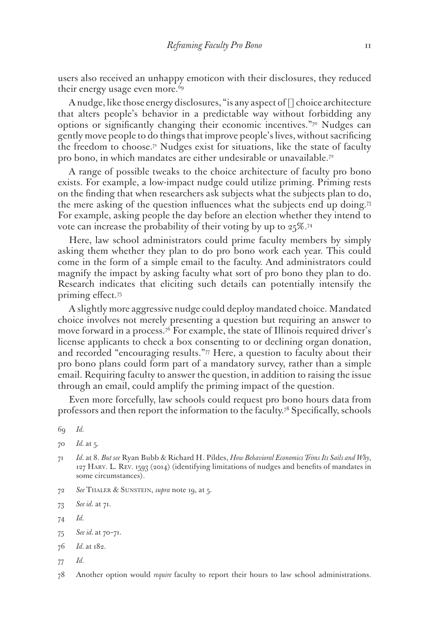users also received an unhappy emoticon with their disclosures, they reduced their energy usage even more.<sup>69</sup>

A nudge, like those energy disclosures, "is any aspect of [] choice architecture that alters people's behavior in a predictable way without forbidding any options or significantly changing their economic incentives."70 Nudges can gently move people to do things that improve people's lives, without sacrificing the freedom to choose.<sup>71</sup> Nudges exist for situations, like the state of faculty pro bono, in which mandates are either undesirable or unavailable.72

A range of possible tweaks to the choice architecture of faculty pro bono exists. For example, a low-impact nudge could utilize priming. Priming rests on the finding that when researchers ask subjects what the subjects plan to do, the mere asking of the question influences what the subjects end up doing.73 For example, asking people the day before an election whether they intend to vote can increase the probability of their voting by up to 25%.74

Here, law school administrators could prime faculty members by simply asking them whether they plan to do pro bono work each year. This could come in the form of a simple email to the faculty. And administrators could magnify the impact by asking faculty what sort of pro bono they plan to do. Research indicates that eliciting such details can potentially intensify the priming effect.75

A slightly more aggressive nudge could deploy mandated choice. Mandated choice involves not merely presenting a question but requiring an answer to move forward in a process.<sup>76</sup> For example, the state of Illinois required driver's license applicants to check a box consenting to or declining organ donation, and recorded "encouraging results." $\pi$  Here, a question to faculty about their pro bono plans could form part of a mandatory survey, rather than a simple email. Requiring faculty to answer the question, in addition to raising the issue through an email, could amplify the priming impact of the question.

Even more forcefully, law schools could request pro bono hours data from professors and then report the information to the faculty.78 Specifically, schools

- 71 *Id.* at 8. *But see* Ryan Bubb & Richard H. Pildes, *How Behavioral Economics Trims Its Sails and Why*, 127 Harv. L. Rev. 1593 (2014) (identifying limitations of nudges and benefits of mandates in some circumstances).
- 72 *See* Thaler & Sunstein, *supra* note 19, at 5.

<sup>69</sup> *Id.*

<sup>70</sup> *Id.* at 5.

<sup>73</sup> *See id.* at 71.

<sup>74</sup> *Id.*

<sup>75</sup> *See id.* at 70–71.

<sup>76</sup> *Id.* at 182.

<sup>77</sup> *Id.*

<sup>78</sup> Another option would *require* faculty to report their hours to law school administrations.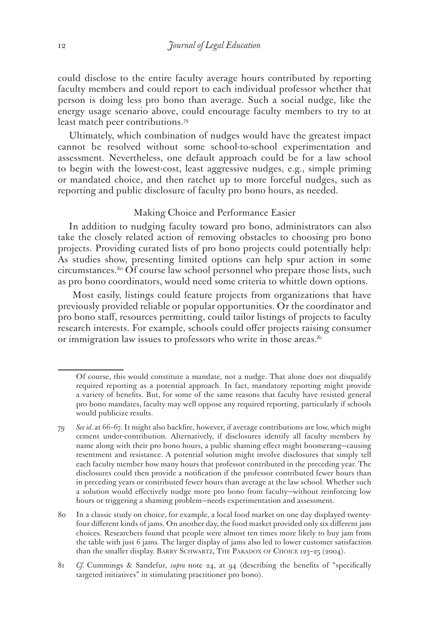could disclose to the entire faculty average hours contributed by reporting faculty members and could report to each individual professor whether that person is doing less pro bono than average. Such a social nudge, like the energy usage scenario above, could encourage faculty members to try to at least match peer contributions.79

Ultimately, which combination of nudges would have the greatest impact cannot be resolved without some school-to-school experimentation and assessment. Nevertheless, one default approach could be for a law school to begin with the lowest-cost, least aggressive nudges, e.g., simple priming or mandated choice, and then ratchet up to more forceful nudges, such as reporting and public disclosure of faculty pro bono hours, as needed.

#### Making Choice and Performance Easier

In addition to nudging faculty toward pro bono, administrators can also take the closely related action of removing obstacles to choosing pro bono projects. Providing curated lists of pro bono projects could potentially help: As studies show, presenting limited options can help spur action in some circumstances.80 Of course law school personnel who prepare those lists, such as pro bono coordinators, would need some criteria to whittle down options.

 Most easily, listings could feature projects from organizations that have previously provided reliable or popular opportunities. Or the coordinator and pro bono staff, resources permitting, could tailor listings of projects to faculty research interests. For example, schools could offer projects raising consumer or immigration law issues to professors who write in those areas.<sup>81</sup>

Of course, this would constitute a mandate, not a nudge. That alone does not disqualify required reporting as a potential approach. In fact, mandatory reporting might provide a variety of benefits. But, for some of the same reasons that faculty have resisted general pro bono mandates, faculty may well oppose any required reporting, particularly if schools would publicize results.

<sup>79</sup> *See id.* at 66–67. It might also backfire, however, if average contributions are low, which might cement under-contribution. Alternatively, if disclosures identify all faculty members by name along with their pro bono hours, a public shaming effect might boomerang—causing resentment and resistance. A potential solution might involve disclosures that simply tell each faculty member how many hours that professor contributed in the preceding year. The disclosures could then provide a notification if the professor contributed fewer hours than in preceding years or contributed fewer hours than average at the law school. Whether such a solution would effectively nudge more pro bono from faculty—without reinforcing low hours or triggering a shaming problem—needs experimentation and assessment.

<sup>80</sup> In a classic study on choice, for example, a local food market on one day displayed twentyfour different kinds of jams. On another day, the food market provided only six different jam choices. Researchers found that people were almost ten times more likely to buy jam from the table with just 6 jams. The larger display of jams also led to lower customer satisfaction than the smaller display. BARRY SCHWARTZ, THE PARADOX OF CHOICE 123-25 (2004).

<sup>81</sup> *Cf.* Cummings & Sandefur, *supra* note 24, at 94 (describing the benefits of "specifically targeted initiatives" in stimulating practitioner pro bono).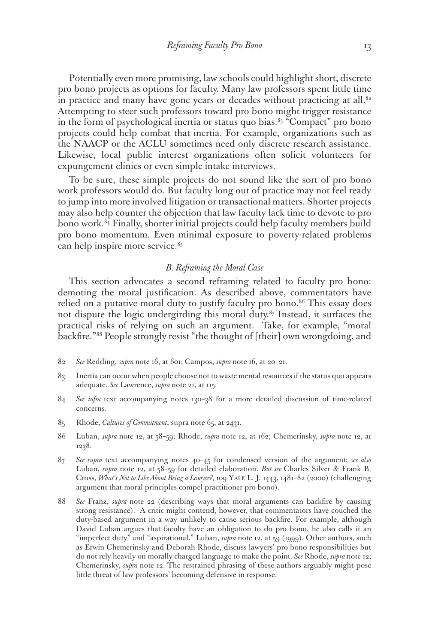Potentially even more promising, law schools could highlight short, discrete pro bono projects as options for faculty. Many law professors spent little time in practice and many have gone years or decades without practicing at all.<sup>82</sup> Attempting to steer such professors toward pro bono might trigger resistance in the form of psychological inertia or status quo bias. $83$  "Compact" pro bono projects could help combat that inertia. For example, organizations such as the NAACP or the ACLU sometimes need only discrete research assistance. Likewise, local public interest organizations often solicit volunteers for expungement clinics or even simple intake interviews.

To be sure, these simple projects do not sound like the sort of pro bono work professors would do. But faculty long out of practice may not feel ready to jump into more involved litigation or transactional matters. Shorter projects may also help counter the objection that law faculty lack time to devote to pro bono work.84 Finally, shorter initial projects could help faculty members build pro bono momentum. Even minimal exposure to poverty-related problems can help inspire more service.<sup>85</sup>

## *B. Reframing the Moral Case*

This section advocates a second reframing related to faculty pro bono: demoting the moral justification. As described above, commentators have relied on a putative moral duty to justify faculty pro bono.<sup>86</sup> This essay does not dispute the logic undergirding this moral duty.87 Instead, it surfaces the practical risks of relying on such an argument. Take, for example, "moral backfire."88 People strongly resist "the thought of [their] own wrongdoing, and

- 82 *See* Redding, *supra* note 16, at 601; Campos, *supra* note 16, at 20–21.
- 83 Inertia can occur when people choose not to waste mental resources if the status quo appears adequate. *See* Lawrence, *supra* note 21, at 115.
- 84 *See infra* text accompanying notes 130–38 for a more detailed discussion of time-related concerns.
- 85 Rhode, *Cultures of Commitment*, supra note 65, at 2431.
- 86 Luban, *supra* note 12, at 58–59; Rhode, *supra* note 12, at 162; Chemerinsky, *supra* note 12, at 1238.
- 87 *See supra* text accompanying notes 40–45 for condensed version of the argument; *see also*  Luban, *supra* note 12, at 58–59 for detailed elaboration. *But see* Charles Silver & Frank B. Cross, *What's Not to Like About Being a Lawyer?*, 109 Yale L. J. 1443, 1481–82 (2000) (challenging argument that moral principles compel practitioner pro bono).
- 88 *See* Franz, *supra* note 22 (describing ways that moral arguments can backfire by causing strong resistance). A critic might contend, however, that commentators have couched the duty-based argument in a way unlikely to cause serious backfire. For example, although David Luban argues that faculty have an obligation to do pro bono, he also calls it an "imperfect duty" and "aspirational." Luban, *supra* note 12, at 59 (1999). Other authors, such as Erwin Chemerinsky and Deborah Rhode, discuss lawyers' pro bono responsibilities but do not rely heavily on morally charged language to make the point. *See* Rhode, *supra* note 12; Chemerinsky, *supra* note 12. The restrained phrasing of these authors arguably might pose little threat of law professors' becoming defensive in response.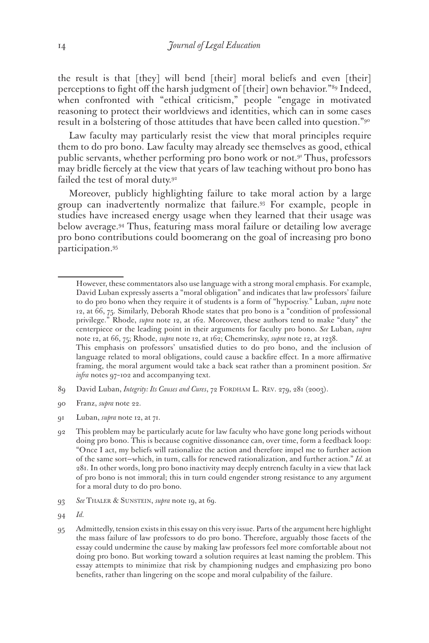the result is that [they] will bend [their] moral beliefs and even [their] perceptions to fight off the harsh judgment of [their] own behavior."89 Indeed, when confronted with "ethical criticism," people "engage in motivated reasoning to protect their worldviews and identities, which can in some cases result in a bolstering of those attitudes that have been called into question."<sup>90</sup>

Law faculty may particularly resist the view that moral principles require them to do pro bono. Law faculty may already see themselves as good, ethical public servants, whether performing pro bono work or not.91 Thus, professors may bridle fiercely at the view that years of law teaching without pro bono has failed the test of moral duty.<sup>92</sup>

Moreover, publicly highlighting failure to take moral action by a large group can inadvertently normalize that failure.93 For example, people in studies have increased energy usage when they learned that their usage was below average.94 Thus, featuring mass moral failure or detailing low average pro bono contributions could boomerang on the goal of increasing pro bono participation.95

- 89 David Luban, *Integrity: Its Causes and Cures*, 72 FORDHAM L. REV. 279, 281 (2003).
- 90 Franz, *supra* note 22.
- 91 Luban, *supra* note 12, at 71.

However, these commentators also use language with a strong moral emphasis. For example, David Luban expressly asserts a "moral obligation" and indicates that law professors' failure to do pro bono when they require it of students is a form of "hypocrisy." Luban, *supra* note 12, at 66, 75. Similarly, Deborah Rhode states that pro bono is a "condition of professional privilege." Rhode, *supra* note 12, at 162. Moreover, these authors tend to make "duty" the centerpiece or the leading point in their arguments for faculty pro bono. *See* Luban, *supra*  note 12, at 66, 75; Rhode, *supra* note 12, at 162; Chemerinsky, *supra* note 12, at 1238. This emphasis on professors' unsatisfied duties to do pro bono, and the inclusion of

language related to moral obligations, could cause a backfire effect. In a more affirmative framing, the moral argument would take a back seat rather than a prominent position. *See infra* notes 97–102 and accompanying text.

<sup>92</sup> This problem may be particularly acute for law faculty who have gone long periods without doing pro bono. This is because cognitive dissonance can, over time, form a feedback loop: "Once I act, my beliefs will rationalize the action and therefore impel me to further action of the same sort—which, in turn, calls for renewed rationalization, and further action." *Id.* at 281. In other words, long pro bono inactivity may deeply entrench faculty in a view that lack of pro bono is not immoral; this in turn could engender strong resistance to any argument for a moral duty to do pro bono.

<sup>93</sup> *See* Thaler & Sunstein, *supra* note 19, at 69.

<sup>94</sup> *Id.*

<sup>95</sup> Admittedly, tension exists in this essay on this very issue. Parts of the argument here highlight the mass failure of law professors to do pro bono. Therefore, arguably those facets of the essay could undermine the cause by making law professors feel more comfortable about not doing pro bono. But working toward a solution requires at least naming the problem. This essay attempts to minimize that risk by championing nudges and emphasizing pro bono benefits, rather than lingering on the scope and moral culpability of the failure.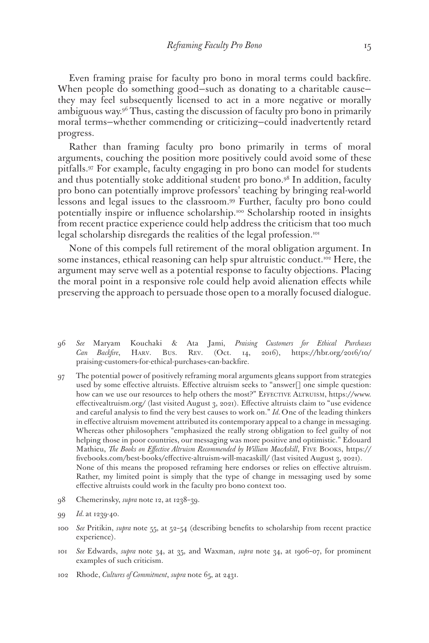Even framing praise for faculty pro bono in moral terms could backfire. When people do something good—such as donating to a charitable cause they may feel subsequently licensed to act in a more negative or morally ambiguous way.<sup>96</sup> Thus, casting the discussion of faculty pro bono in primarily moral terms—whether commending or criticizing—could inadvertently retard progress.

Rather than framing faculty pro bono primarily in terms of moral arguments, couching the position more positively could avoid some of these pitfalls.97 For example, faculty engaging in pro bono can model for students and thus potentially stoke additional student pro bono.<sup>98</sup> In addition, faculty pro bono can potentially improve professors' teaching by bringing real-world lessons and legal issues to the classroom.99 Further, faculty pro bono could potentially inspire or influence scholarship.<sup>100</sup> Scholarship rooted in insights from recent practice experience could help address the criticism that too much legal scholarship disregards the realities of the legal profession.<sup>101</sup>

None of this compels full retirement of the moral obligation argument. In some instances, ethical reasoning can help spur altruistic conduct.<sup>102</sup> Here, the argument may serve well as a potential response to faculty objections. Placing the moral point in a responsive role could help avoid alienation effects while preserving the approach to persuade those open to a morally focused dialogue.

- 96 *See* Maryam Kouchaki & Ata Jami, *Praising Customers for Ethical Purchases Can Backfire*, Harv. Bus. Rev. (Oct. 14, 2016), https://hbr.org/2016/10/ praising-customers-for-ethical-purchases-can-backfire.
- 97 The potential power of positively reframing moral arguments gleans support from strategies used by some effective altruists. Effective altruism seeks to "answer<sup>[]</sup> one simple question: how can we use our resources to help others the most?" EFFECTIVE ALTRUISM, https://www. effectivealtruism.org/ (last visited August 3, 2021). Effective altruists claim to "use evidence and careful analysis to find the very best causes to work on." *Id.* One of the leading thinkers in effective altruism movement attributed its contemporary appeal to a change in messaging. Whereas other philosophers "emphasized the really strong obligation to feel guilty of not helping those in poor countries, our messaging was more positive and optimistic." Edouard Mathieu, *The Books on Effective Altruism Recommended by William MacAskill*, FIVE BOOKS, https:// fivebooks.com/best-books/effective-altruism-will-macaskill/ (last visited August 3, 2021). None of this means the proposed reframing here endorses or relies on effective altruism. Rather, my limited point is simply that the type of change in messaging used by some effective altruists could work in the faculty pro bono context too.
- 98 Chemerinsky, *supra* note 12, at 1238–39.
- 99 *Id.* at 1239-40.
- 100 *See* Pritikin, *supra* note 55, at 52–54 (describing benefits to scholarship from recent practice experience).
- 101 *See* Edwards, *supra* note 34, at 35, and Waxman, *supra* note 34, at 1906–07, for prominent examples of such criticism.
- 102 Rhode, *Cultures of Commitment*, *supra* note 65, at 2431.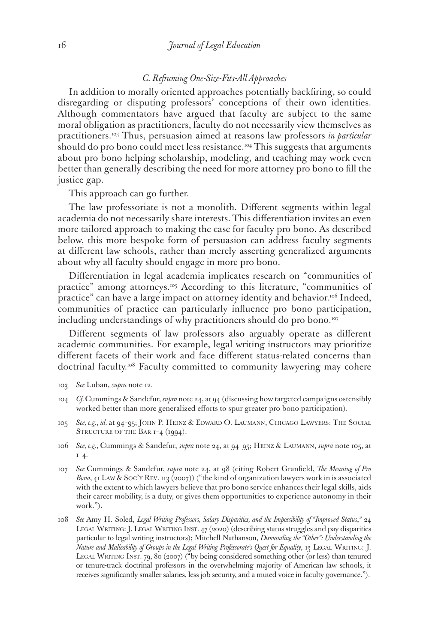## *C. Reframing One-Size-Fits-All Approaches*

In addition to morally oriented approaches potentially backfiring, so could disregarding or disputing professors' conceptions of their own identities. Although commentators have argued that faculty are subject to the same moral obligation as practitioners, faculty do not necessarily view themselves as practitioners.103 Thus, persuasion aimed at reasons law professors *in particular* should do pro bono could meet less resistance.<sup>104</sup> This suggests that arguments about pro bono helping scholarship, modeling, and teaching may work even better than generally describing the need for more attorney pro bono to fill the justice gap.

This approach can go further.

The law professoriate is not a monolith. Different segments within legal academia do not necessarily share interests. This differentiation invites an even more tailored approach to making the case for faculty pro bono. As described below, this more bespoke form of persuasion can address faculty segments at different law schools, rather than merely asserting generalized arguments about why all faculty should engage in more pro bono.

Differentiation in legal academia implicates research on "communities of practice" among attorneys.<sup>105</sup> According to this literature, "communities of practice" can have a large impact on attorney identity and behavior.<sup>106</sup> Indeed, communities of practice can particularly influence pro bono participation, including understandings of why practitioners should do pro bono.<sup>107</sup>

Different segments of law professors also arguably operate as different academic communities. For example, legal writing instructors may prioritize different facets of their work and face different status-related concerns than doctrinal faculty.<sup>108</sup> Faculty committed to community lawyering may cohere

- 103 *See* Luban, *supra* note 12.
- 104 *Cf.* Cummings & Sandefur, *supra* note 24, at 94 (discussing how targeted campaigns ostensibly worked better than more generalized efforts to spur greater pro bono participation).
- 105 *See, e.g.*, *id.* at 94–95; John P. Heinz & Edward O. Laumann, Chicago Lawyers: The Social STRUCTURE OF THE BAR 1-4 (1994).
- 106 *See, e.g.*, Cummings & Sandefur, *supra* note 24, at 94–95; Heinz & Laumann, *supra* note 105, at  $1 - 4.$
- 107 *See* Cummings & Sandefur, *supra* note 24, at 98 (citing Robert Granfield, *The Meaning of Pro Bono*, 41 Law & Soc'y Rev. 113 (2007)) ("the kind of organization lawyers work in is associated with the extent to which lawyers believe that pro bono service enhances their legal skills, aids their career mobility, is a duty, or gives them opportunities to experience autonomy in their work.").
- 108 *See* Amy H. Soled, *Legal Writing Professors, Salary Disparities, and the Impossibility of "Improved Status*,*"* 24 LEGAL WRITING: J. LEGAL WRITING INST. 47 (2020) (describing status struggles and pay disparities particular to legal writing instructors); Mitchell Nathanson, *Dismantling the "Other": Understanding the Nature and Malleability of Groups in the Legal Writing Professorate's Quest for Equality*, 13 LEGAL WRITING: J. LEGAL WRITING INST. 79, 80 (2007) ("by being considered something other (or less) than tenured or tenure-track doctrinal professors in the overwhelming majority of American law schools, it receives significantly smaller salaries, less job security, and a muted voice in faculty governance.").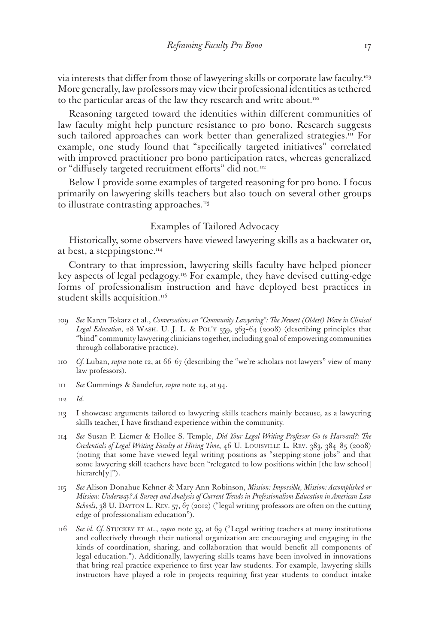via interests that differ from those of lawyering skills or corporate law faculty.109 More generally, law professors may view their professional identities as tethered to the particular areas of the law they research and write about.<sup>110</sup>

Reasoning targeted toward the identities within different communities of law faculty might help puncture resistance to pro bono. Research suggests such tailored approaches can work better than generalized strategies.<sup>111</sup> For example, one study found that "specifically targeted initiatives" correlated with improved practitioner pro bono participation rates, whereas generalized or "diffusely targeted recruitment efforts" did not.<sup>112</sup>

Below I provide some examples of targeted reasoning for pro bono. I focus primarily on lawyering skills teachers but also touch on several other groups to illustrate contrasting approaches.<sup>113</sup>

## Examples of Tailored Advocacy

Historically, some observers have viewed lawyering skills as a backwater or, at best, a steppingstone. $114$ 

Contrary to that impression, lawyering skills faculty have helped pioneer key aspects of legal pedagogy.115 For example, they have devised cutting-edge forms of professionalism instruction and have deployed best practices in student skills acquisition. $116$ 

- 109 *See* Karen Tokarz et al., *Conversations on "Community Lawyering": The Newest (Oldest) Wave in Clinical Legal Education*, 28 Wash. U. J. L. & Pol'y 359, 363–64 (2008) (describing principles that "bind" community lawyering clinicians together, including goal of empowering communities through collaborative practice).
- 110 *Cf.* Luban, *supra* note 12, at 66–67 (describing the "we're-scholars-not-lawyers" view of many law professors).
- 111 *See* Cummings & Sandefur, *supra* note 24, at 94.

- 113 I showcase arguments tailored to lawyering skills teachers mainly because, as a lawyering skills teacher, I have firsthand experience within the community.
- 114 *See* Susan P. Liemer & Hollee S. Temple, *Did Your Legal Writing Professor Go to Harvard?: The Credentials of Legal Writing Faculty at Hiring Time*, 46 U. Louisville L. Rev. 383, 384–85 (2008) (noting that some have viewed legal writing positions as "stepping-stone jobs" and that some lawyering skill teachers have been "relegated to low positions within [the law school] hierarch[y]").
- 115 *See* Alison Donahue Kehner & Mary Ann Robinson, *Mission: Impossible, Mission: Accomplished or Mission: Underway? A Survey and Analysis of Current Trends in Professionalism Education in American Law*  Schools, 38 U. DAYTON L. REV. 57, 67 (2012) ("legal writing professors are often on the cutting edge of professionalism education").
- 116 *See id. Cf.* Stuckey et al., *supra* note 33, at 69 ("Legal writing teachers at many institutions and collectively through their national organization are encouraging and engaging in the kinds of coordination, sharing, and collaboration that would benefit all components of legal education."). Additionally, lawyering skills teams have been involved in innovations that bring real practice experience to first year law students. For example, lawyering skills instructors have played a role in projects requiring first-year students to conduct intake

<sup>112</sup> *Id.*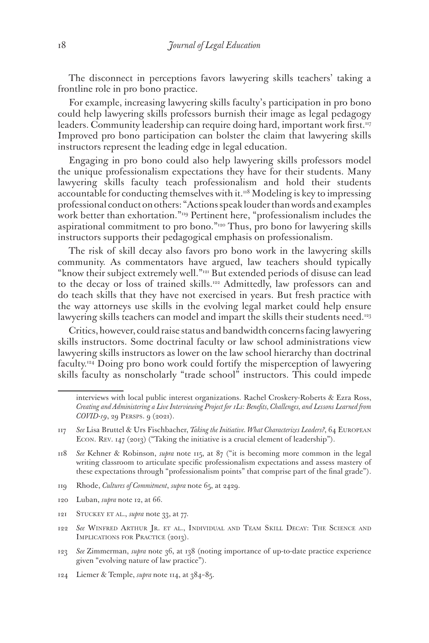The disconnect in perceptions favors lawyering skills teachers' taking a frontline role in pro bono practice.

For example, increasing lawyering skills faculty's participation in pro bono could help lawyering skills professors burnish their image as legal pedagogy leaders. Community leadership can require doing hard, important work first.<sup>117</sup> Improved pro bono participation can bolster the claim that lawyering skills instructors represent the leading edge in legal education.

Engaging in pro bono could also help lawyering skills professors model the unique professionalism expectations they have for their students. Many lawyering skills faculty teach professionalism and hold their students accountable for conducting themselves with it. $118$  Modeling is key to impressing professional conduct on others: "Actions speak louder than words and examples work better than exhortation."<sup>119</sup> Pertinent here, "professionalism includes the aspirational commitment to pro bono."120 Thus, pro bono for lawyering skills instructors supports their pedagogical emphasis on professionalism.

The risk of skill decay also favors pro bono work in the lawyering skills community. As commentators have argued, law teachers should typically "know their subject extremely well."<sup>121</sup> But extended periods of disuse can lead to the decay or loss of trained skills.<sup>122</sup> Admittedly, law professors can and do teach skills that they have not exercised in years. But fresh practice with the way attorneys use skills in the evolving legal market could help ensure lawyering skills teachers can model and impart the skills their students need.<sup>123</sup>

Critics, however, could raise status and bandwidth concerns facing lawyering skills instructors. Some doctrinal faculty or law school administrations view lawyering skills instructors as lower on the law school hierarchy than doctrinal faculty.124 Doing pro bono work could fortify the misperception of lawyering skills faculty as nonscholarly "trade school" instructors. This could impede

- 119 Rhode, *Cultures of Commitment*, *supra* note 65, at 2429.
- 120 Luban, *supra* note 12, at 66.
- 121 Stuckey et al., *supra* note 33, at 77.
- 122 *See* Winfred Arthur Jr. et al., Individual and Team Skill Decay: The Science and IMPLICATIONS FOR PRACTICE (2013).
- 123 *See* Zimmerman, *supra* note 36, at 138 (noting importance of up-to-date practice experience given "evolving nature of law practice").
- 124 Liemer & Temple, *supra* note 114, at 384–85.

interviews with local public interest organizations. Rachel Croskery-Roberts & Ezra Ross, *Creating and Administering a Live Interviewing Project for 1Ls: Benefits, Challenges, and Lessons Learned from COVID-19*, 29 PERSPS. 9 (2021).

<sup>117</sup> *See* Lisa Bruttel & Urs Fischbacher, *Taking the Initiative. What Characterizes Leaders?*, 64 European Econ. Rev. 147 (2013) ("Taking the initiative is a crucial element of leadership").

<sup>118</sup> *See* Kehner & Robinson, *supra* note 115, at 87 ("it is becoming more common in the legal writing classroom to articulate specific professionalism expectations and assess mastery of these expectations through "professionalism points" that comprise part of the final grade").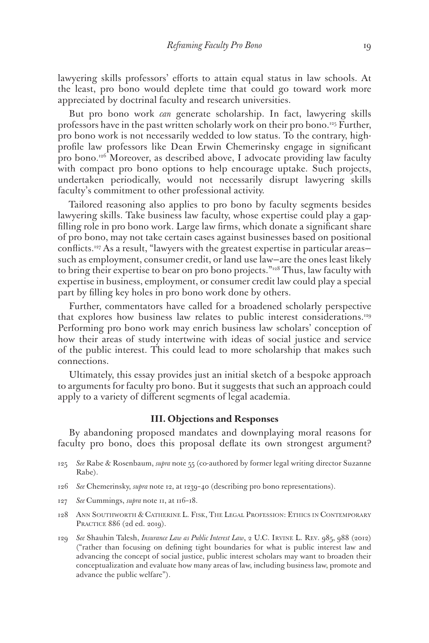lawyering skills professors' efforts to attain equal status in law schools. At the least, pro bono would deplete time that could go toward work more appreciated by doctrinal faculty and research universities.

But pro bono work *can* generate scholarship. In fact, lawyering skills professors have in the past written scholarly work on their pro bono.125 Further, pro bono work is not necessarily wedded to low status. To the contrary, highprofile law professors like Dean Erwin Chemerinsky engage in significant pro bono.<sup>126</sup> Moreover, as described above, I advocate providing law faculty with compact pro bono options to help encourage uptake. Such projects, undertaken periodically, would not necessarily disrupt lawyering skills faculty's commitment to other professional activity.

Tailored reasoning also applies to pro bono by faculty segments besides lawyering skills. Take business law faculty, whose expertise could play a gapfilling role in pro bono work. Large law firms, which donate a significant share of pro bono, may not take certain cases against businesses based on positional conflicts.127 As a result, "lawyers with the greatest expertise in particular areas such as employment, consumer credit, or land use law—are the ones least likely to bring their expertise to bear on pro bono projects."<sup>128</sup> Thus, law faculty with expertise in business, employment, or consumer credit law could play a special part by filling key holes in pro bono work done by others.

Further, commentators have called for a broadened scholarly perspective that explores how business law relates to public interest considerations.<sup>129</sup> Performing pro bono work may enrich business law scholars' conception of how their areas of study intertwine with ideas of social justice and service of the public interest. This could lead to more scholarship that makes such connections.

Ultimately, this essay provides just an initial sketch of a bespoke approach to arguments for faculty pro bono. But it suggests that such an approach could apply to a variety of different segments of legal academia.

# **III. Objections and Responses**

By abandoning proposed mandates and downplaying moral reasons for faculty pro bono, does this proposal deflate its own strongest argument?

- 125 *See* Rabe & Rosenbaum, *supra* note 55 (co-authored by former legal writing director Suzanne Rabe).
- 126 *See* Chemerinsky, *supra* note 12, at 1239–40 (describing pro bono representations).
- 127 *See* Cummings, *supra* note 11, at 116–18.
- 128 Ann Southworth & Catherine L. Fisk, The Legal Profession: Ethics in Contemporary PRACTICE 886 (2d ed. 2019).
- 129 *See* Shauhin Talesh, *Insurance Law as Public Interest Law*, 2 U.C. Irvine L. Rev. 985, 988 (2012) ("rather than focusing on defining tight boundaries for what is public interest law and advancing the concept of social justice, public interest scholars may want to broaden their conceptualization and evaluate how many areas of law, including business law, promote and advance the public welfare").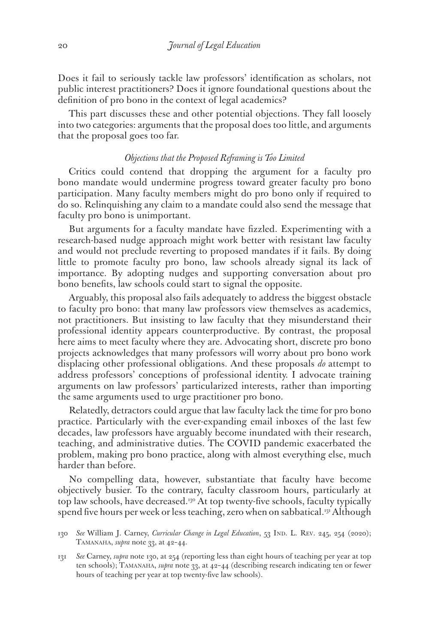Does it fail to seriously tackle law professors' identification as scholars, not public interest practitioners? Does it ignore foundational questions about the definition of pro bono in the context of legal academics?

This part discusses these and other potential objections. They fall loosely into two categories: arguments that the proposal does too little, and arguments that the proposal goes too far.

## *Objections that the Proposed Reframing is Too Limited*

Critics could contend that dropping the argument for a faculty pro bono mandate would undermine progress toward greater faculty pro bono participation. Many faculty members might do pro bono only if required to do so. Relinquishing any claim to a mandate could also send the message that faculty pro bono is unimportant.

But arguments for a faculty mandate have fizzled. Experimenting with a research-based nudge approach might work better with resistant law faculty and would not preclude reverting to proposed mandates if it fails. By doing little to promote faculty pro bono, law schools already signal its lack of importance. By adopting nudges and supporting conversation about pro bono benefits, law schools could start to signal the opposite.

Arguably, this proposal also fails adequately to address the biggest obstacle to faculty pro bono: that many law professors view themselves as academics, not practitioners. But insisting to law faculty that they misunderstand their professional identity appears counterproductive. By contrast, the proposal here aims to meet faculty where they are. Advocating short, discrete pro bono projects acknowledges that many professors will worry about pro bono work displacing other professional obligations. And these proposals *do* attempt to address professors' conceptions of professional identity. I advocate training arguments on law professors' particularized interests, rather than importing the same arguments used to urge practitioner pro bono.

Relatedly, detractors could argue that law faculty lack the time for pro bono practice. Particularly with the ever-expanding email inboxes of the last few decades, law professors have arguably become inundated with their research, teaching, and administrative duties. The COVID pandemic exacerbated the problem, making pro bono practice, along with almost everything else, much harder than before.

No compelling data, however, substantiate that faculty have become objectively busier. To the contrary, faculty classroom hours, particularly at top law schools, have decreased.<sup>130</sup> At top twenty-five schools, faculty typically spend five hours per week or less teaching, zero when on sabbatical.131 Although

131 *See* Carney, *supra* note 130, at 254 (reporting less than eight hours of teaching per year at top ten schools); Tamanaha, *supra* note 33, at 42–44 (describing research indicating ten or fewer hours of teaching per year at top twenty-five law schools).

<sup>130</sup> *See* William J. Carney, *Curricular Change in Legal Education*, 53 Ind. L. Rev. 245, 254 (2020); TAMANAHA, *supra* note 33, at 42-44.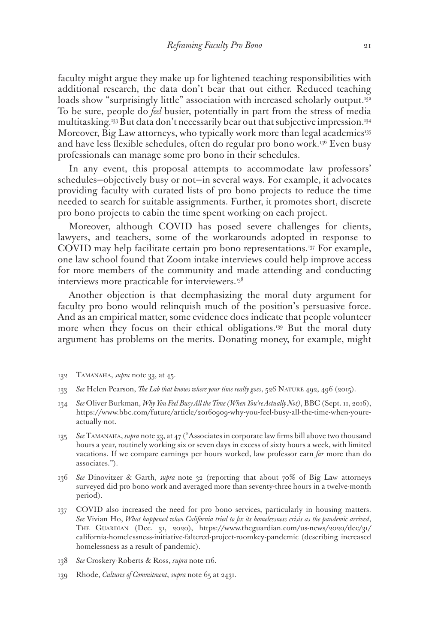faculty might argue they make up for lightened teaching responsibilities with additional research, the data don't bear that out either. Reduced teaching loads show "surprisingly little" association with increased scholarly output.<sup>132</sup> To be sure, people do *feel* busier, potentially in part from the stress of media multitasking.<sup>133</sup> But data don't necessarily bear out that subjective impression.<sup>134</sup> Moreover, Big Law attorneys, who typically work more than legal academics<sup>135</sup> and have less flexible schedules, often do regular pro bono work.<sup>136</sup> Even busy professionals can manage some pro bono in their schedules.

In any event, this proposal attempts to accommodate law professors' schedules—objectively busy or not—in several ways. For example, it advocates providing faculty with curated lists of pro bono projects to reduce the time needed to search for suitable assignments. Further, it promotes short, discrete pro bono projects to cabin the time spent working on each project.

Moreover, although COVID has posed severe challenges for clients, lawyers, and teachers, some of the workarounds adopted in response to COVID may help facilitate certain pro bono representations.137 For example, one law school found that Zoom intake interviews could help improve access for more members of the community and made attending and conducting interviews more practicable for interviewers.<sup>138</sup>

Another objection is that deemphasizing the moral duty argument for faculty pro bono would relinquish much of the position's persuasive force. And as an empirical matter, some evidence does indicate that people volunteer more when they focus on their ethical obligations.<sup>139</sup> But the moral duty argument has problems on the merits. Donating money, for example, might

- 132 Tamanaha, *supra* note 33, at 45.
- 133 *See* Helen Pearson, *The Lab that knows where your time really goes*, 526 Nature 492, 496 (2015).
- 134 *See* Oliver Burkman, *Why You Feel Busy All the Time (When You're Actually Not)*, BBC (Sept. 11, 2016), https://www.bbc.com/future/article/20160909-why-you-feel-busy-all-the-time-when-youreactually-not.
- 135 *See* Tamanaha, *supra* note 33, at 47 ("Associates in corporate law firms bill above two thousand hours a year, routinely working six or seven days in excess of sixty hours a week, with limited vacations. If we compare earnings per hours worked, law professor earn *far* more than do associates.").
- 136 *See* Dinovitzer & Garth, *supra* note 32 (reporting that about 70% of Big Law attorneys surveyed did pro bono work and averaged more than seventy-three hours in a twelve-month period).
- 137 COVID also increased the need for pro bono services, particularly in housing matters. *See* Vivian Ho, *What happened when California tried to fix its homelessness crisis as the pandemic arrived*, The Guardian (Dec. 31, 2020), https://www.theguardian.com/us-news/2020/dec/31/ california-homelessness-initiative-faltered-project-roomkey-pandemic (describing increased homelessness as a result of pandemic).
- 138 *See* Croskery-Roberts & Ross, *supra* note 116.
- 139 Rhode, *Cultures of Commitment*, *supra* note 65 at 2431.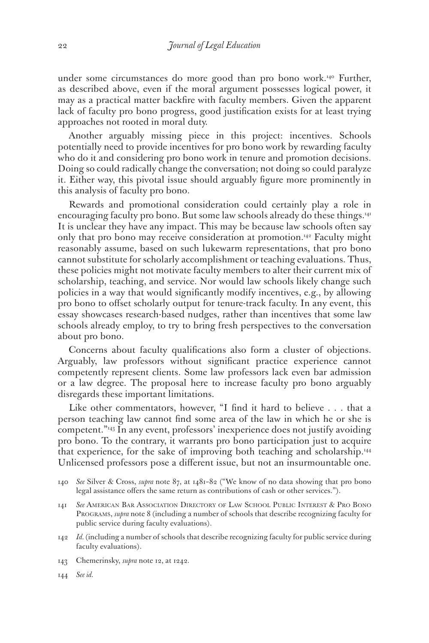under some circumstances do more good than pro bono work.<sup>140</sup> Further, as described above, even if the moral argument possesses logical power, it may as a practical matter backfire with faculty members. Given the apparent lack of faculty pro bono progress, good justification exists for at least trying approaches not rooted in moral duty.

Another arguably missing piece in this project: incentives. Schools potentially need to provide incentives for pro bono work by rewarding faculty who do it and considering pro bono work in tenure and promotion decisions. Doing so could radically change the conversation; not doing so could paralyze it. Either way, this pivotal issue should arguably figure more prominently in this analysis of faculty pro bono.

Rewards and promotional consideration could certainly play a role in encouraging faculty pro bono. But some law schools already do these things.<sup>141</sup> It is unclear they have any impact. This may be because law schools often say only that pro bono may receive consideration at promotion.<sup>142</sup> Faculty might reasonably assume, based on such lukewarm representations, that pro bono cannot substitute for scholarly accomplishment or teaching evaluations. Thus, these policies might not motivate faculty members to alter their current mix of scholarship, teaching, and service. Nor would law schools likely change such policies in a way that would significantly modify incentives, e.g., by allowing pro bono to offset scholarly output for tenure-track faculty. In any event, this essay showcases research-based nudges, rather than incentives that some law schools already employ, to try to bring fresh perspectives to the conversation about pro bono.

Concerns about faculty qualifications also form a cluster of objections. Arguably, law professors without significant practice experience cannot competently represent clients. Some law professors lack even bar admission or a law degree. The proposal here to increase faculty pro bono arguably disregards these important limitations.

Like other commentators, however, "I find it hard to believe . . . that a person teaching law cannot find some area of the law in which he or she is competent."143 In any event, professors' inexperience does not justify avoiding pro bono. To the contrary, it warrants pro bono participation just to acquire that experience, for the sake of improving both teaching and scholarship.<sup>144</sup> Unlicensed professors pose a different issue, but not an insurmountable one.

- 141 *See* American Bar Association Directory of Law School Public Interest & Pro Bono Programs, *supra* note 8 (including a number of schools that describe recognizing faculty for public service during faculty evaluations).
- 142 *Id.*(including a number of schools that describe recognizing faculty for public service during faculty evaluations).
- 143 Chemerinsky, *supra* note 12, at 1242.
- 144 *See id.*

<sup>140</sup> *See* Silver & Cross, *supra* note 87, at 1481–82 ("We know of no data showing that pro bono legal assistance offers the same return as contributions of cash or other services.").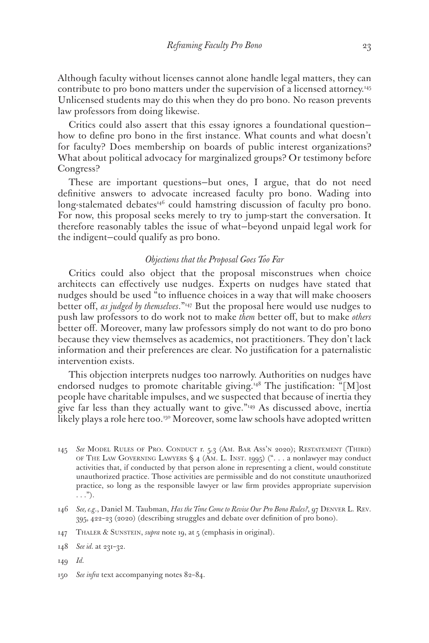Although faculty without licenses cannot alone handle legal matters, they can contribute to pro bono matters under the supervision of a licensed attorney.145 Unlicensed students may do this when they do pro bono. No reason prevents law professors from doing likewise.

Critics could also assert that this essay ignores a foundational question how to define pro bono in the first instance. What counts and what doesn't for faculty? Does membership on boards of public interest organizations? What about political advocacy for marginalized groups? Or testimony before Congress?

These are important questions—but ones, I argue, that do not need definitive answers to advocate increased faculty pro bono. Wading into long-stalemated debates<sup>146</sup> could hamstring discussion of faculty pro bono. For now, this proposal seeks merely to try to jump-start the conversation. It therefore reasonably tables the issue of what—beyond unpaid legal work for the indigent—could qualify as pro bono.

#### *Objections that the Proposal Goes Too Far*

Critics could also object that the proposal misconstrues when choice architects can effectively use nudges. Experts on nudges have stated that nudges should be used "to influence choices in a way that will make choosers better off, *as judged by themselves*."147 But the proposal here would use nudges to push law professors to do work not to make *them* better off, but to make *others* better off. Moreover, many law professors simply do not want to do pro bono because they view themselves as academics, not practitioners. They don't lack information and their preferences are clear. No justification for a paternalistic intervention exists.

This objection interprets nudges too narrowly. Authorities on nudges have endorsed nudges to promote charitable giving.<sup>148</sup> The justification: "[M]ost people have charitable impulses, and we suspected that because of inertia they give far less than they actually want to give."149 As discussed above, inertia likely plays a role here too.<sup>150</sup> Moreover, some law schools have adopted written

147 THALER & SUNSTEIN, *supra* note 19, at 5 (emphasis in original).

- 149 *Id.*
- 150 *See infra* text accompanying notes 82–84.

<sup>145</sup> *See* Model Rules of Pro. Conduct r. 5.3 (Am. Bar Ass'n 2020); Restatement (Third) of The Law Governing Lawyers § 4 (Am. L. Inst. 1995) (". . . a nonlawyer may conduct activities that, if conducted by that person alone in representing a client, would constitute unauthorized practice. Those activities are permissible and do not constitute unauthorized practice, so long as the responsible lawyer or law firm provides appropriate supervision  $\ldots$ ").

<sup>146</sup> *See, e.g*., Daniel M. Taubman, *Has the Time Come to Revise Our Pro Bono Rules?*, 97 Denver L. Rev. 395, 422–23 (2020) (describing struggles and debate over definition of pro bono).

<sup>148</sup> *See id.* at 231–32.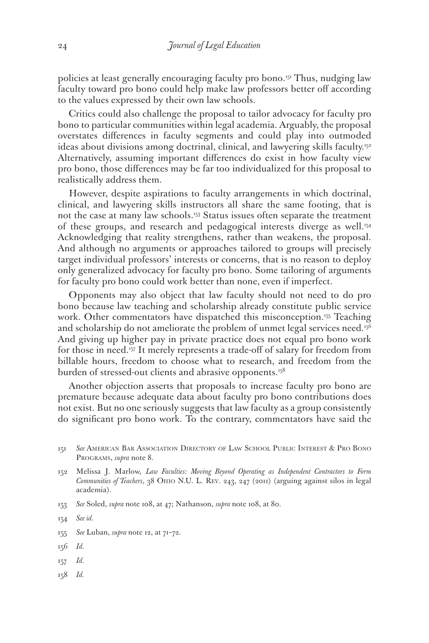policies at least generally encouraging faculty pro bono.151 Thus, nudging law faculty toward pro bono could help make law professors better off according to the values expressed by their own law schools.

Critics could also challenge the proposal to tailor advocacy for faculty pro bono to particular communities within legal academia. Arguably, the proposal overstates differences in faculty segments and could play into outmoded ideas about divisions among doctrinal, clinical, and lawyering skills faculty.<sup>152</sup> Alternatively, assuming important differences do exist in how faculty view pro bono, those differences may be far too individualized for this proposal to realistically address them.

However, despite aspirations to faculty arrangements in which doctrinal, clinical, and lawyering skills instructors all share the same footing, that is not the case at many law schools.<sup>153</sup> Status issues often separate the treatment of these groups, and research and pedagogical interests diverge as well.<sup>154</sup> Acknowledging that reality strengthens, rather than weakens, the proposal. And although no arguments or approaches tailored to groups will precisely target individual professors' interests or concerns, that is no reason to deploy only generalized advocacy for faculty pro bono. Some tailoring of arguments for faculty pro bono could work better than none, even if imperfect.

Opponents may also object that law faculty should not need to do pro bono because law teaching and scholarship already constitute public service work. Other commentators have dispatched this misconception.<sup>155</sup> Teaching and scholarship do not ameliorate the problem of unmet legal services need.<sup>156</sup> And giving up higher pay in private practice does not equal pro bono work for those in need.157 It merely represents a trade-off of salary for freedom from billable hours, freedom to choose what to research, and freedom from the burden of stressed-out clients and abrasive opponents.<sup>158</sup>

Another objection asserts that proposals to increase faculty pro bono are premature because adequate data about faculty pro bono contributions does not exist. But no one seriously suggests that law faculty as a group consistently do significant pro bono work. To the contrary, commentators have said the

153 *See* Soled, *supra* note 108, at 47; Nathanson, *supra* note 108, at 80.

- 156 *Id.*
- 157 *Id.*
- 158 *Id.*

<sup>151</sup> *See* American Bar Association Directory of Law School Public Interest & Pro Bono Programs, *supra* note 8.

<sup>152</sup> Melissa J. Marlow, *Law Faculties: Moving Beyond Operating as Independent Contractors to Form Communities of Teachers*, 38 Ohio N.U. L. Rev. 243, 247 (2011) (arguing against silos in legal academia).

<sup>154</sup> *See id.*

<sup>155</sup> *See* Luban, *supra* note 12, at 71–72.